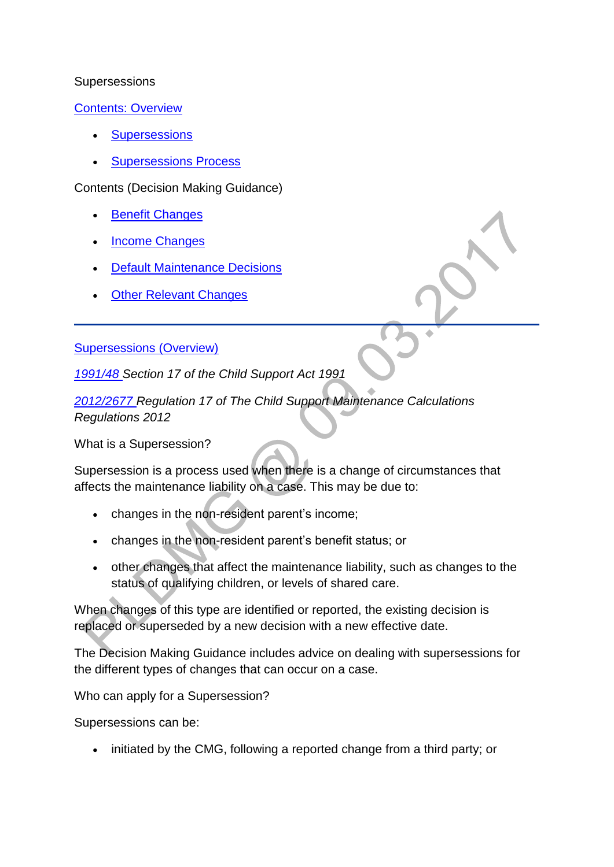#### **Supersessions**

[Contents: Overview](http://np-cmg-sharepoint.link2.gpn.gov.uk/sites/policy-law-and-decision-making-guidance/Pages/Supersessions/Supersessions.aspx) 

- **[Supersessions](http://np-cmg-sharepoint.link2.gpn.gov.uk/sites/policy-law-and-decision-making-guidance/Pages/Supersessions/Supersessions.aspx#changeofcircumstancesoverview)**
- [Supersessions Process](http://np-cmg-sharepoint.link2.gpn.gov.uk/sites/policy-law-and-decision-making-guidance/Pages/Supersessions/Supersessions.aspx#SupersessionsProcessOverview)

Contents (Decision Making Guidance)

- [Benefit Changes](http://np-cmg-sharepoint.link2.gpn.gov.uk/sites/policy-law-and-decision-making-guidance/Pages/Supersessions/Supersessions.aspx#BenefitChangesDMG)
- [Income Changes](http://np-cmg-sharepoint.link2.gpn.gov.uk/sites/policy-law-and-decision-making-guidance/Pages/Supersessions/Supersessions.aspx#IncomeChangesDMG)
- [Default Maintenance Decisions](http://np-cmg-sharepoint.link2.gpn.gov.uk/sites/policy-law-and-decision-making-guidance/Pages/Supersessions/Supersessions.aspx#DMD)
- [Other Relevant Changes](http://np-cmg-sharepoint.link2.gpn.gov.uk/sites/policy-law-and-decision-making-guidance/Pages/Supersessions/Supersessions.aspx#ORC)

## [Supersessions \(Overview\)](http://np-cmg-sharepoint.link2.gpn.gov.uk/sites/policy-law-and-decision-making-guidance/Pages/Supersessions/Supersessions.aspx)

*[1991/48 S](http://www.legislation.gov.uk/ukpga/1991/48)ection 17 of the Child Support Act 1991*

*[2012/2677 R](http://www.legislation.gov.uk/uksi/2012/2677)egulation 17 of The Child Support Maintenance Calculations Regulations 2012*

What is a Supersession?

Supersession is a process used when there is a change of circumstances that affects the maintenance liability on a case. This may be due to:

- changes in the non-resident parent's income;
- changes in the non-resident parent's benefit status; or
- other changes that affect the maintenance liability, such as changes to the status of qualifying children, or levels of shared care.

When changes of this type are identified or reported, the existing decision is replaced or superseded by a new decision with a new effective date.

The Decision Making Guidance includes advice on dealing with supersessions for the different types of changes that can occur on a case.

Who can apply for a Supersession?

Supersessions can be:

• initiated by the CMG, following a reported change from a third party; or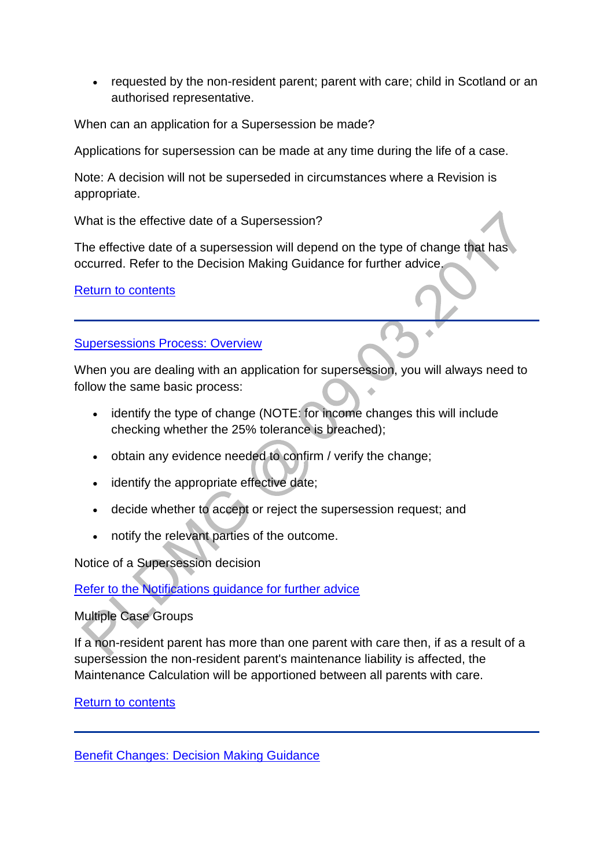requested by the non-resident parent; parent with care; child in Scotland or an authorised representative.

When can an application for a Supersession be made?

Applications for supersession can be made at any time during the life of a case.

Note: A decision will not be superseded in circumstances where a Revision is appropriate.

What is the effective date of a Supersession?

The effective date of a supersession will depend on the type of change that has occurred. Refer to the Decision Making Guidance for further advice.

[Return to contents](http://np-cmg-sharepoint.link2.gpn.gov.uk/sites/policy-law-and-decision-making-guidance/Pages/Supersessions/Supersessions.aspx#Contents)

[Supersessions Process: Overview](http://np-cmg-sharepoint.link2.gpn.gov.uk/sites/policy-law-and-decision-making-guidance/Pages/Supersessions/Supersessions.aspx)

When you are dealing with an application for supersession, you will always need to follow the same basic process:

- identify the type of change (NOTE: for income changes this will include checking whether the 25% tolerance is breached);
- obtain any evidence needed to confirm / verify the change;
- identify the appropriate effective date;
- decide whether to accept or reject the supersession request; and
- notify the relevant parties of the outcome.

Notice of a Supersession decision

[Refer to the Notifications guidance for further advice](http://np-cmg-sharepoint.link2.gpn.gov.uk/sites/policy-law-and-decision-making-guidance/Pages/Supersessions/Supersessions.aspx#http%3a//np-cmg-sharepoint.link2.gpn.gov.uk/sites/policy-law-and-decision-making-guidance/Pages/Notifications/Notifications.aspx)

## Multiple Case Groups

If a non-resident parent has more than one parent with care then, if as a result of a supersession the non-resident parent's maintenance liability is affected, the Maintenance Calculation will be apportioned between all parents with care.

[Return to contents](http://np-cmg-sharepoint.link2.gpn.gov.uk/sites/policy-law-and-decision-making-guidance/Pages/Supersessions/Supersessions.aspx#Contents)

[Benefit Changes: Decision Making Guidance](http://np-cmg-sharepoint.link2.gpn.gov.uk/sites/policy-law-and-decision-making-guidance/Pages/Supersessions/Supersessions.aspx)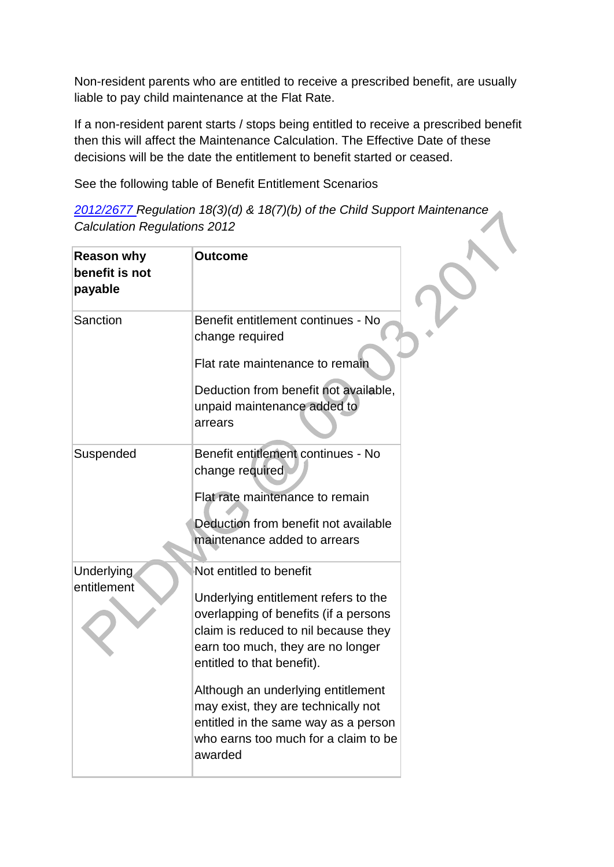Non-resident parents who are entitled to receive a prescribed benefit, are usually liable to pay child maintenance at the Flat Rate.

If a non-resident parent starts / stops being entitled to receive a prescribed benefit then this will affect the Maintenance Calculation. The Effective Date of these decisions will be the date the entitlement to benefit started or ceased.

See the following table of Benefit Entitlement Scenarios

|                                     | 2012/2677 Regulation 18(3)(d) & 18(7)(b) of the Child Support Maintenance |
|-------------------------------------|---------------------------------------------------------------------------|
| <b>Calculation Regulations 2012</b> |                                                                           |

| <b>Reason why</b><br>benefit is not<br>payable | <b>Outcome</b>                                                                                                                                                                                                      |  |
|------------------------------------------------|---------------------------------------------------------------------------------------------------------------------------------------------------------------------------------------------------------------------|--|
| Sanction                                       | Benefit entitlement continues - No<br>change required<br>Flat rate maintenance to remain<br>Deduction from benefit not available,<br>unpaid maintenance added to<br>arrears                                         |  |
| Suspended                                      | Benefit entitlement continues - No<br>change required<br>Flat rate maintenance to remain<br>Deduction from benefit not available<br>maintenance added to arrears                                                    |  |
| <b>Underlying</b><br>entitlement               | Not entitled to benefit<br>Underlying entitlement refers to the<br>overlapping of benefits (if a persons<br>claim is reduced to nil because they<br>earn too much, they are no longer<br>entitled to that benefit). |  |
|                                                | Although an underlying entitlement<br>may exist, they are technically not<br>entitled in the same way as a person<br>who earns too much for a claim to be<br>awarded                                                |  |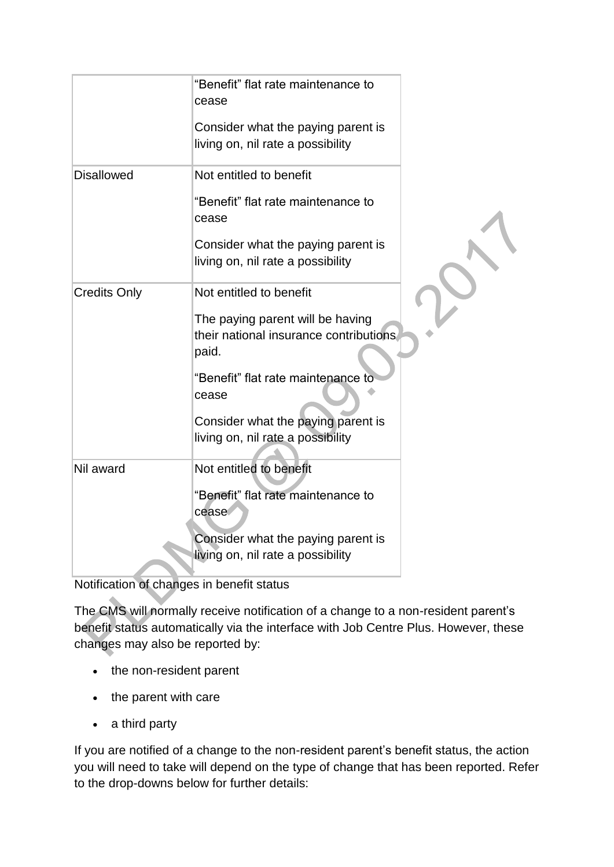|                     | "Benefit" flat rate maintenance to<br>cease                                         |  |
|---------------------|-------------------------------------------------------------------------------------|--|
|                     | Consider what the paying parent is                                                  |  |
|                     | living on, nil rate a possibility                                                   |  |
| <b>Disallowed</b>   | Not entitled to benefit                                                             |  |
|                     | "Benefit" flat rate maintenance to<br>cease                                         |  |
|                     | Consider what the paying parent is<br>living on, nil rate a possibility             |  |
|                     |                                                                                     |  |
| <b>Credits Only</b> | Not entitled to benefit                                                             |  |
|                     | The paying parent will be having<br>their national insurance contributions<br>paid. |  |
|                     | "Benefit" flat rate maintenance to<br>cease                                         |  |
|                     | Consider what the paying parent is                                                  |  |
|                     | living on, nil rate a possibility                                                   |  |
| Nil award           | Not entitled to benefit                                                             |  |
|                     | "Benefit" flat rate maintenance to<br>cease                                         |  |
|                     |                                                                                     |  |
|                     | Consider what the paying parent is                                                  |  |
|                     | living on, nil rate a possibility                                                   |  |

Notification of changes in benefit status

The CMS will normally receive notification of a change to a non-resident parent's benefit status automatically via the interface with Job Centre Plus. However, these changes may also be reported by:

- the non-resident parent
- the parent with care
- a third party

If you are notified of a change to the non-resident parent's benefit status, the action you will need to take will depend on the type of change that has been reported. Refer to the drop-downs below for further details: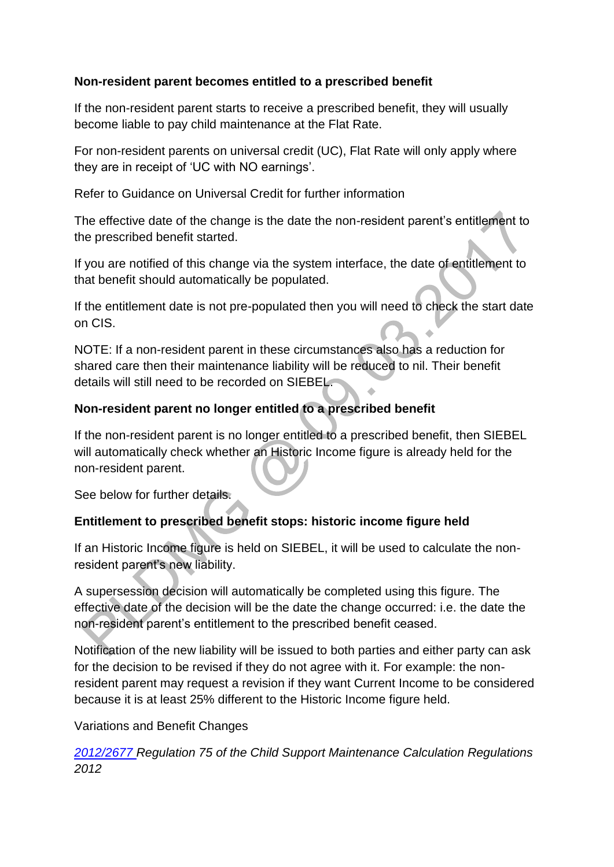## **Non-resident parent becomes entitled to a prescribed benefit**

If the non-resident parent starts to receive a prescribed benefit, they will usually become liable to pay child maintenance at the Flat Rate.

For non-resident parents on universal credit (UC), Flat Rate will only apply where they are in receipt of 'UC with NO earnings'.

Refer to Guidance on Universal Credit for further information

The effective date of the change is the date the non-resident parent's entitlement to the prescribed benefit started.

If you are notified of this change via the system interface, the date of entitlement to that benefit should automatically be populated.

If the entitlement date is not pre-populated then you will need to check the start date on CIS.

NOTE: If a non-resident parent in these circumstances also has a reduction for shared care then their maintenance liability will be reduced to nil. Their benefit details will still need to be recorded on SIEBEL.

## **Non-resident parent no longer entitled to a prescribed benefit**

If the non-resident parent is no longer entitled to a prescribed benefit, then SIEBEL will automatically check whether an Historic Income figure is already held for the non-resident parent.

See below for further details.

# **Entitlement to prescribed benefit stops: historic income figure held**

If an Historic Income figure is held on SIEBEL, it will be used to calculate the nonresident parent's new liability.

A supersession decision will automatically be completed using this figure. The effective date of the decision will be the date the change occurred: i.e. the date the non-resident parent's entitlement to the prescribed benefit ceased.

Notification of the new liability will be issued to both parties and either party can ask for the decision to be revised if they do not agree with it. For example: the nonresident parent may request a revision if they want Current Income to be considered because it is at least 25% different to the Historic Income figure held.

## Variations and Benefit Changes

*[2012/2677 R](http://www.legislation.gov.uk/uksi/2012/2677)egulation 75 of the Child Support Maintenance Calculation Regulations 2012*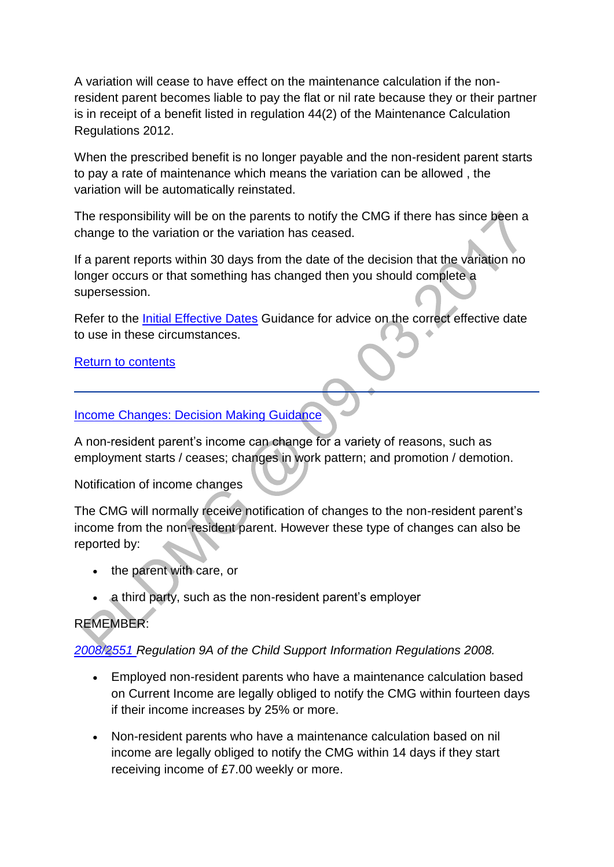A variation will cease to have effect on the maintenance calculation if the nonresident parent becomes liable to pay the flat or nil rate because they or their partner is in receipt of a benefit listed in regulation 44(2) of the Maintenance Calculation Regulations 2012.

When the prescribed benefit is no longer payable and the non-resident parent starts to pay a rate of maintenance which means the variation can be allowed , the variation will be automatically reinstated.

The responsibility will be on the parents to notify the CMG if there has since been a change to the variation or the variation has ceased.

If a parent reports within 30 days from the date of the decision that the variation no longer occurs or that something has changed then you should complete a supersession.

Refer to the *Initial Effective Dates* Guidance for advice on the correct effective date to use in these circumstances.

#### [Return to contents](http://np-cmg-sharepoint.link2.gpn.gov.uk/sites/policy-law-and-decision-making-guidance/Pages/Supersessions/Supersessions.aspx#Contents)

[Income Changes: Decision Making Guidance](http://np-cmg-sharepoint.link2.gpn.gov.uk/sites/policy-law-and-decision-making-guidance/Pages/Supersessions/Supersessions.aspx)

A non-resident parent's income can change for a variety of reasons, such as employment starts / ceases; changes in work pattern; and promotion / demotion.

Notification of income changes

The CMG will normally receive notification of changes to the non-resident parent's income from the non-resident parent. However these type of changes can also be reported by:

- the parent with care, or
- a third party, such as the non-resident parent's employer

# REMEMBER:

*[2008/2551 R](http://www.legislation.gov.uk/uksi/2008/2551/contents)egulation 9A of the Child Support Information Regulations 2008.*

- Employed non-resident parents who have a maintenance calculation based on Current Income are legally obliged to notify the CMG within fourteen days if their income increases by 25% or more.
- Non-resident parents who have a maintenance calculation based on nil income are legally obliged to notify the CMG within 14 days if they start receiving income of £7.00 weekly or more.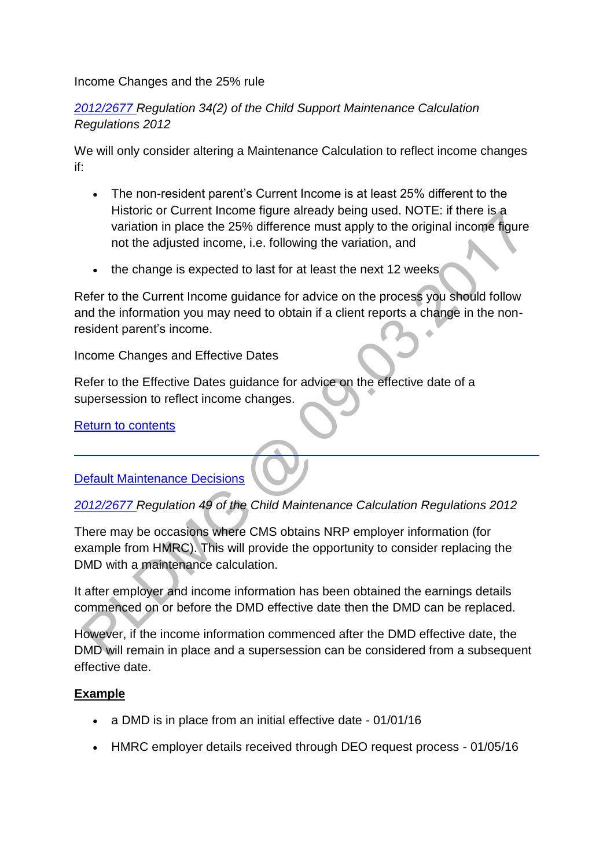#### Income Changes and the 25% rule

## *[2012/2677 R](http://www.legislation.gov.uk/uksi/2012/2677)egulation 34(2) of the Child Support Maintenance Calculation Regulations 2012*

We will only consider altering a Maintenance Calculation to reflect income changes if:

- The non-resident parent's Current Income is at least 25% different to the Historic or Current Income figure already being used. NOTE: if there is a variation in place the 25% difference must apply to the original income figure not the adjusted income, i.e. following the variation, and
- the change is expected to last for at least the next 12 weeks

Refer to the Current Income guidance for advice on the process you should follow and the information you may need to obtain if a client reports a change in the nonresident parent's income.

Income Changes and Effective Dates

Refer to the Effective Dates guidance for advice on the effective date of a supersession to reflect income changes.

[Return to contents](http://np-cmg-sharepoint.link2.gpn.gov.uk/sites/policy-law-and-decision-making-guidance/Pages/Supersessions/Supersessions.aspx#Contents)

## [Default Maintenance Decisions](http://np-cmg-sharepoint.link2.gpn.gov.uk/sites/policy-law-and-decision-making-guidance/Pages/Supersessions/)

## *[2012/2677 R](http://www.legislation.gov.uk/uksi/2012/2677)egulation 49 of the Child Maintenance Calculation Regulations 2012*

There may be occasions where CMS obtains NRP employer information (for example from HMRC). This will provide the opportunity to consider replacing the DMD with a maintenance calculation.

It after employer and income information has been obtained the earnings details commenced on or before the DMD effective date then the DMD can be replaced.

However, if the income information commenced after the DMD effective date, the DMD will remain in place and a supersession can be considered from a subsequent effective date.

## **Example**

- a DMD is in place from an initial effective date 01/01/16
- HMRC employer details received through DEO request process 01/05/16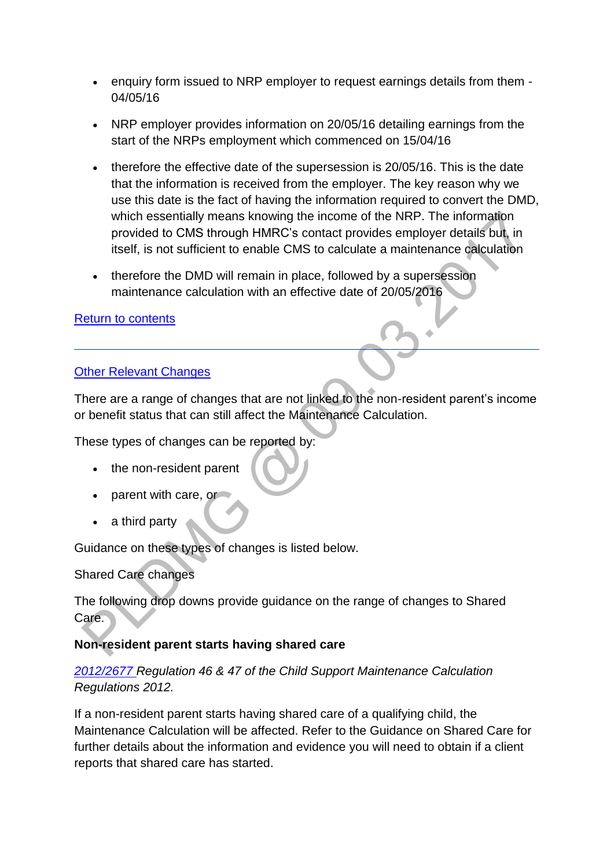- enquiry form issued to NRP employer to request earnings details from them 04/05/16
- NRP employer provides information on 20/05/16 detailing earnings from the start of the NRPs employment which commenced on 15/04/16
- therefore the effective date of the supersession is 20/05/16. This is the date that the information is received from the employer. The key reason why we use this date is the fact of having the information required to convert the DMD, which essentially means knowing the income of the NRP. The information provided to CMS through HMRC's contact provides employer details but, in itself, is not sufficient to enable CMS to calculate a maintenance calculation
- therefore the DMD will remain in place, followed by a supersession maintenance calculation with an effective date of 20/05/2016

## [Return to contents](http://np-cmg-sharepoint.link2.gpn.gov.uk/sites/policy-law-and-decision-making-guidance/Pages/Supersessions/Supersessions.aspx#contents)

## [Other Relevant Changes](http://np-cmg-sharepoint.link2.gpn.gov.uk/sites/policy-law-and-decision-making-guidance/Pages/Supersessions/)

There are a range of changes that are not linked to the non-resident parent's income or benefit status that can still affect the Maintenance Calculation.

These types of changes can be reported by:

- the non-resident parent
- parent with care, or
- a third party

Guidance on these types of changes is listed below.

Shared Care changes

The following drop downs provide guidance on the range of changes to Shared Care.

# **Non-resident parent starts having shared care**

*[2012/2677 R](http://www.legislation.gov.uk/uksi/2012/2677)egulation 46 & 47 of the Child Support Maintenance Calculation Regulations 2012.*

If a non-resident parent starts having shared care of a qualifying child, the Maintenance Calculation will be affected. Refer to the Guidance on Shared Care for further details about the information and evidence you will need to obtain if a client reports that shared care has started.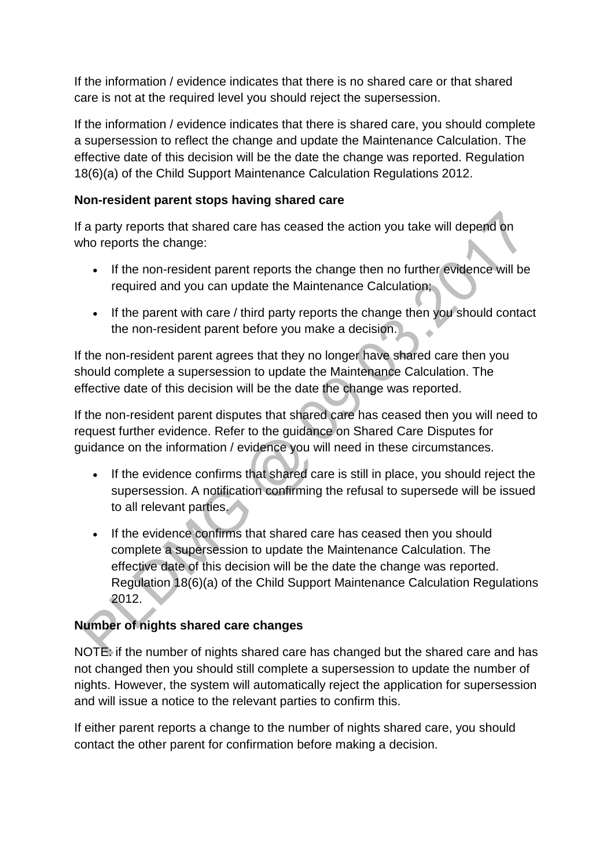If the information / evidence indicates that there is no shared care or that shared care is not at the required level you should reject the supersession.

If the information / evidence indicates that there is shared care, you should complete a supersession to reflect the change and update the Maintenance Calculation. The effective date of this decision will be the date the change was reported. Regulation 18(6)(a) of the Child Support Maintenance Calculation Regulations 2012.

## **Non-resident parent stops having shared care**

If a party reports that shared care has ceased the action you take will depend on who reports the change:

- If the non-resident parent reports the change then no further evidence will be required and you can update the Maintenance Calculation;
- If the parent with care / third party reports the change then you should contact the non-resident parent before you make a decision.

If the non-resident parent agrees that they no longer have shared care then you should complete a supersession to update the Maintenance Calculation. The effective date of this decision will be the date the change was reported.

If the non-resident parent disputes that shared care has ceased then you will need to request further evidence. Refer to the guidance on Shared Care Disputes for guidance on the information / evidence you will need in these circumstances.

- If the evidence confirms that shared care is still in place, you should reject the supersession. A notification confirming the refusal to supersede will be issued to all relevant parties.
- If the evidence confirms that shared care has ceased then you should complete a supersession to update the Maintenance Calculation. The effective date of this decision will be the date the change was reported. Regulation 18(6)(a) of the Child Support Maintenance Calculation Regulations 2012.

# **Number of nights shared care changes**

NOTE: if the number of nights shared care has changed but the shared care and has not changed then you should still complete a supersession to update the number of nights. However, the system will automatically reject the application for supersession and will issue a notice to the relevant parties to confirm this.

If either parent reports a change to the number of nights shared care, you should contact the other parent for confirmation before making a decision.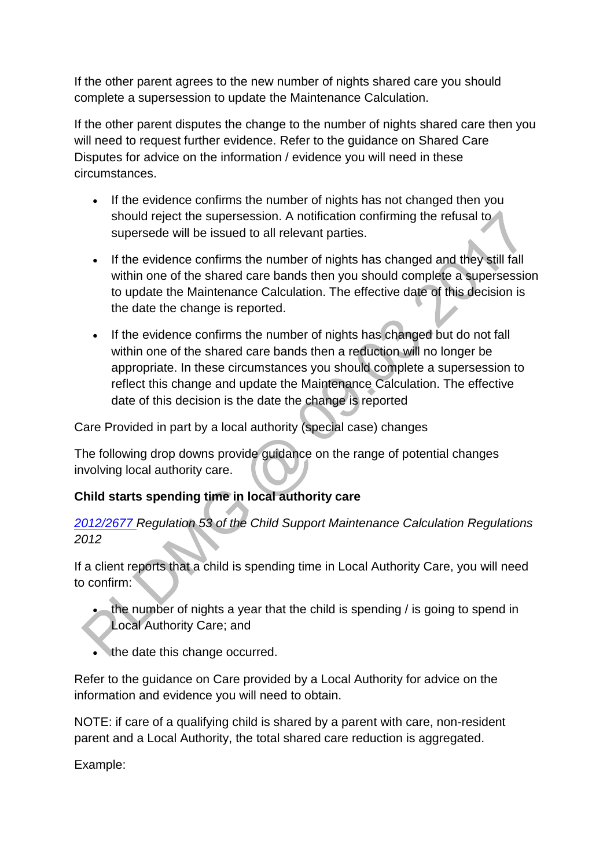If the other parent agrees to the new number of nights shared care you should complete a supersession to update the Maintenance Calculation.

If the other parent disputes the change to the number of nights shared care then you will need to request further evidence. Refer to the guidance on Shared Care Disputes for advice on the information / evidence you will need in these circumstances.

- If the evidence confirms the number of nights has not changed then you should reject the supersession. A notification confirming the refusal to supersede will be issued to all relevant parties.
- If the evidence confirms the number of nights has changed and they still fall within one of the shared care bands then you should complete a supersession to update the Maintenance Calculation. The effective date of this decision is the date the change is reported.
- If the evidence confirms the number of nights has changed but do not fall within one of the shared care bands then a reduction will no longer be appropriate. In these circumstances you should complete a supersession to reflect this change and update the Maintenance Calculation. The effective date of this decision is the date the change is reported

Care Provided in part by a local authority (special case) changes

The following drop downs provide guidance on the range of potential changes involving local authority care.

# **Child starts spending time in local authority care**

*[2012/2677 R](http://www.legislation.gov.uk/uksi/2012/2677)egulation 53 of the Child Support Maintenance Calculation Regulations 2012*

If a client reports that a child is spending time in Local Authority Care, you will need to confirm:

 the number of nights a year that the child is spending / is going to spend in Local Authority Care; and

• the date this change occurred.

Refer to the guidance on Care provided by a Local Authority for advice on the information and evidence you will need to obtain.

NOTE: if care of a qualifying child is shared by a parent with care, non-resident parent and a Local Authority, the total shared care reduction is aggregated.

Example: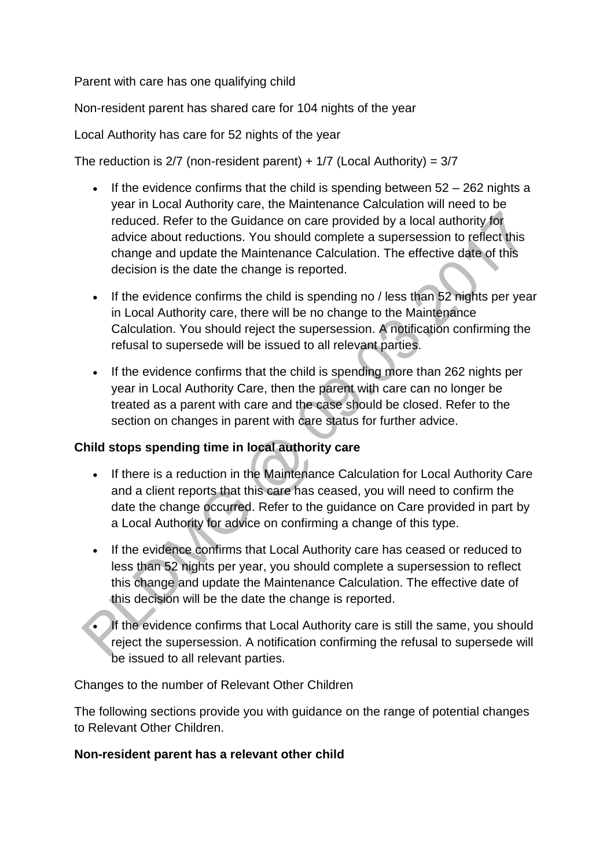Parent with care has one qualifying child

Non-resident parent has shared care for 104 nights of the year

#### Local Authority has care for 52 nights of the year

The reduction is  $2/7$  (non-resident parent) +  $1/7$  (Local Authority) =  $3/7$ 

- If the evidence confirms that the child is spending between  $52 262$  nights a year in Local Authority care, the Maintenance Calculation will need to be reduced. Refer to the Guidance on care provided by a local authority for advice about reductions. You should complete a supersession to reflect this change and update the Maintenance Calculation. The effective date of this decision is the date the change is reported.
- If the evidence confirms the child is spending no / less than 52 nights per year in Local Authority care, there will be no change to the Maintenance Calculation. You should reject the supersession. A notification confirming the refusal to supersede will be issued to all relevant parties.
- If the evidence confirms that the child is spending more than 262 nights per year in Local Authority Care, then the parent with care can no longer be treated as a parent with care and the case should be closed. Refer to the section on changes in parent with care status for further advice.

## **Child stops spending time in local authority care**

- If there is a reduction in the Maintenance Calculation for Local Authority Care and a client reports that this care has ceased, you will need to confirm the date the change occurred. Refer to the guidance on Care provided in part by a Local Authority for advice on confirming a change of this type.
- If the evidence confirms that Local Authority care has ceased or reduced to less than 52 nights per year, you should complete a supersession to reflect this change and update the Maintenance Calculation. The effective date of this decision will be the date the change is reported.
- If the evidence confirms that Local Authority care is still the same, you should reject the supersession. A notification confirming the refusal to supersede will be issued to all relevant parties.

Changes to the number of Relevant Other Children

The following sections provide you with guidance on the range of potential changes to Relevant Other Children.

#### **Non-resident parent has a relevant other child**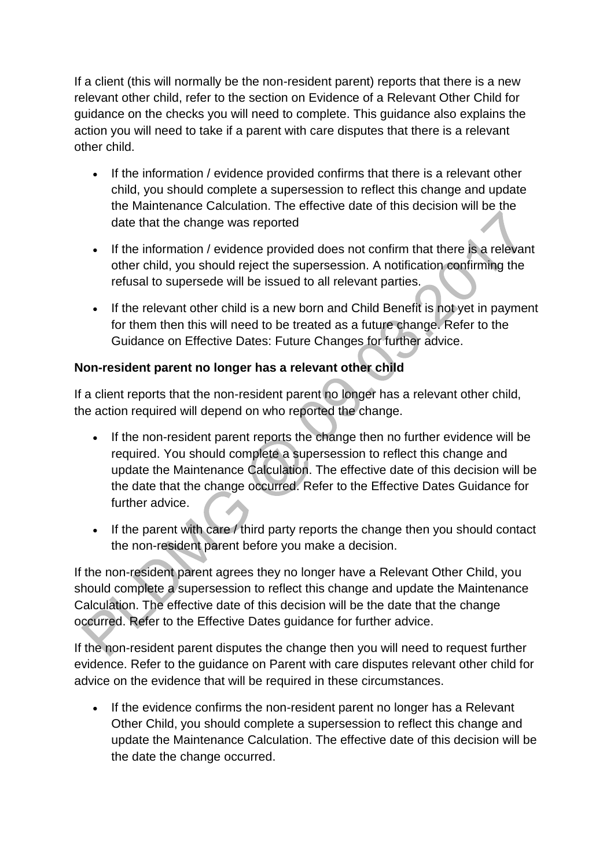If a client (this will normally be the non-resident parent) reports that there is a new relevant other child, refer to the section on Evidence of a Relevant Other Child for guidance on the checks you will need to complete. This guidance also explains the action you will need to take if a parent with care disputes that there is a relevant other child.

- If the information / evidence provided confirms that there is a relevant other child, you should complete a supersession to reflect this change and update the Maintenance Calculation. The effective date of this decision will be the date that the change was reported
- If the information / evidence provided does not confirm that there is a relevant other child, you should reject the supersession. A notification confirming the refusal to supersede will be issued to all relevant parties.
- If the relevant other child is a new born and Child Benefit is not yet in payment for them then this will need to be treated as a future change. Refer to the Guidance on Effective Dates: Future Changes for further advice.

# **Non-resident parent no longer has a relevant other child**

If a client reports that the non-resident parent no longer has a relevant other child, the action required will depend on who reported the change.

- If the non-resident parent reports the change then no further evidence will be required. You should complete a supersession to reflect this change and update the Maintenance Calculation. The effective date of this decision will be the date that the change occurred. Refer to the Effective Dates Guidance for further advice.
- If the parent with care  $\ell$  third party reports the change then you should contact the non-resident parent before you make a decision.

If the non-resident parent agrees they no longer have a Relevant Other Child, you should complete a supersession to reflect this change and update the Maintenance Calculation. The effective date of this decision will be the date that the change occurred. Refer to the Effective Dates guidance for further advice.

If the non-resident parent disputes the change then you will need to request further evidence. Refer to the guidance on Parent with care disputes relevant other child for advice on the evidence that will be required in these circumstances.

 If the evidence confirms the non-resident parent no longer has a Relevant Other Child, you should complete a supersession to reflect this change and update the Maintenance Calculation. The effective date of this decision will be the date the change occurred.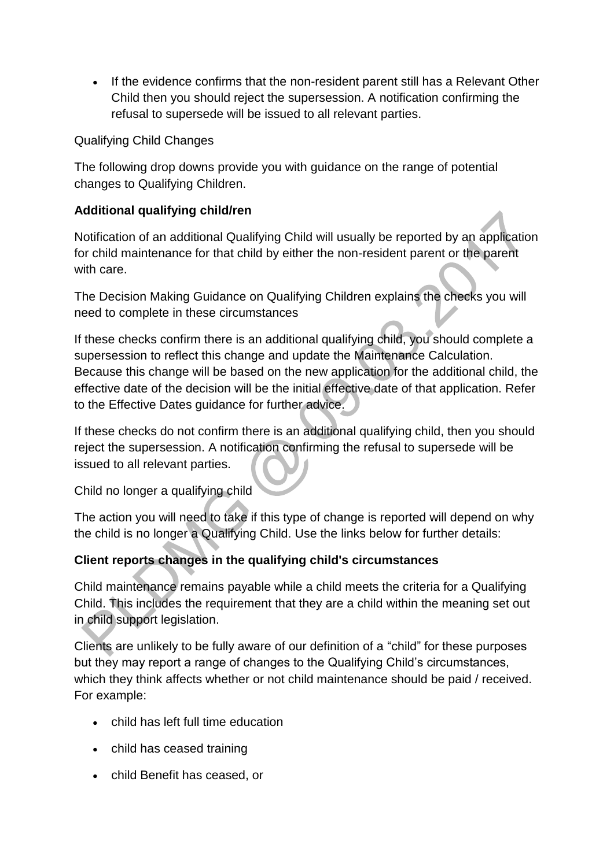If the evidence confirms that the non-resident parent still has a Relevant Other Child then you should reject the supersession. A notification confirming the refusal to supersede will be issued to all relevant parties.

## Qualifying Child Changes

The following drop downs provide you with guidance on the range of potential changes to Qualifying Children.

# **Additional qualifying child/ren**

Notification of an additional Qualifying Child will usually be reported by an application for child maintenance for that child by either the non-resident parent or the parent with care.

The Decision Making Guidance on Qualifying Children explains the checks you will need to complete in these circumstances

If these checks confirm there is an additional qualifying child, you should complete a supersession to reflect this change and update the Maintenance Calculation. Because this change will be based on the new application for the additional child, the effective date of the decision will be the initial effective date of that application. Refer to the Effective Dates guidance for further advice.

If these checks do not confirm there is an additional qualifying child, then you should reject the supersession. A notification confirming the refusal to supersede will be issued to all relevant parties.

Child no longer a qualifying child

The action you will need to take if this type of change is reported will depend on why the child is no longer a Qualifying Child. Use the links below for further details:

# **Client reports changes in the qualifying child's circumstances**

Child maintenance remains payable while a child meets the criteria for a Qualifying Child. This includes the requirement that they are a child within the meaning set out in child support legislation.

Clients are unlikely to be fully aware of our definition of a "child" for these purposes but they may report a range of changes to the Qualifying Child's circumstances, which they think affects whether or not child maintenance should be paid / received. For example:

- child has left full time education
- child has ceased training
- child Benefit has ceased, or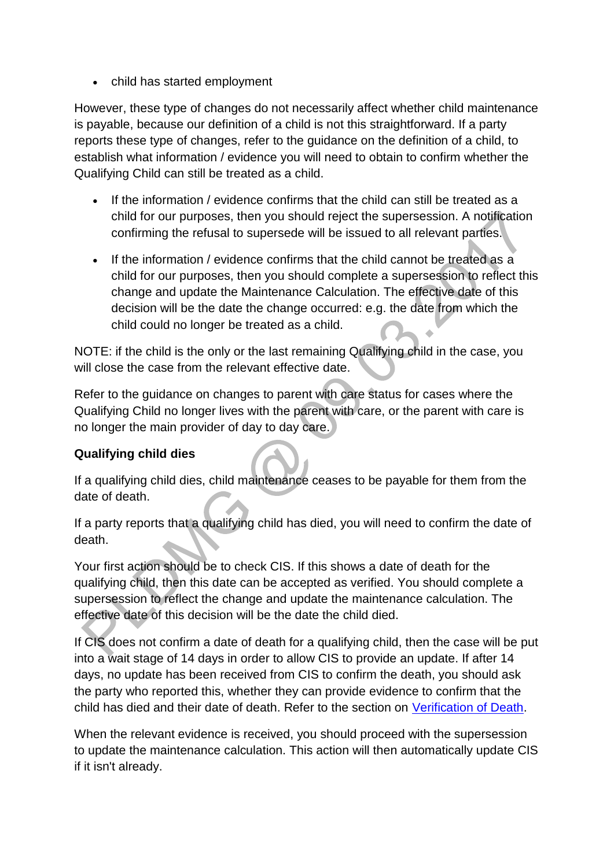• child has started employment

However, these type of changes do not necessarily affect whether child maintenance is payable, because our definition of a child is not this straightforward. If a party reports these type of changes, refer to the guidance on the definition of a child, to establish what information / evidence you will need to obtain to confirm whether the Qualifying Child can still be treated as a child.

- If the information / evidence confirms that the child can still be treated as a child for our purposes, then you should reject the supersession. A notification confirming the refusal to supersede will be issued to all relevant parties.
- If the information / evidence confirms that the child cannot be treated as a child for our purposes, then you should complete a supersession to reflect this change and update the Maintenance Calculation. The effective date of this decision will be the date the change occurred: e.g. the date from which the child could no longer be treated as a child.  $\ddot{\phantom{a}}$

NOTE: if the child is the only or the last remaining Qualifying child in the case, you will close the case from the relevant effective date.

Refer to the guidance on changes to parent with care status for cases where the Qualifying Child no longer lives with the parent with care, or the parent with care is no longer the main provider of day to day care.

# **Qualifying child dies**

If a qualifying child dies, child maintenance ceases to be payable for them from the date of death.

If a party reports that a qualifying child has died, you will need to confirm the date of death.

Your first action should be to check CIS. If this shows a date of death for the qualifying child, then this date can be accepted as verified. You should complete a supersession to reflect the change and update the maintenance calculation. The effective date of this decision will be the date the child died.

If CIS does not confirm a date of death for a qualifying child, then the case will be put into a wait stage of 14 days in order to allow CIS to provide an update. If after 14 days, no update has been received from CIS to confirm the death, you should ask the party who reported this, whether they can provide evidence to confirm that the child has died and their date of death. Refer to the section on [Verification of Death.](http://np-cmg-sharepoint.link2.gpn.gov.uk/sites/policy-law-and-decision-making-guidance/Pages/Verification-of-Death.aspx)

When the relevant evidence is received, you should proceed with the supersession to update the maintenance calculation. This action will then automatically update CIS if it isn't already.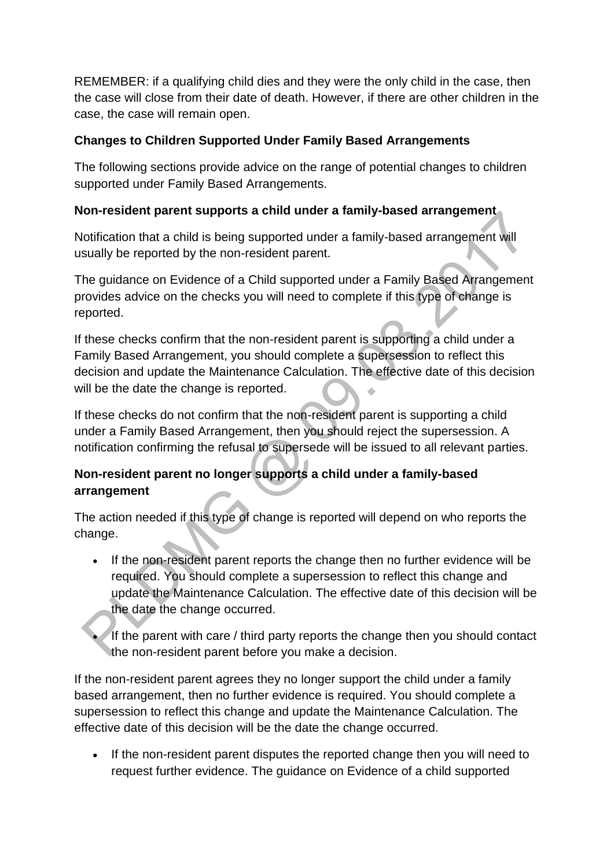REMEMBER: if a qualifying child dies and they were the only child in the case, then the case will close from their date of death. However, if there are other children in the case, the case will remain open.

# **Changes to Children Supported Under Family Based Arrangements**

The following sections provide advice on the range of potential changes to children supported under Family Based Arrangements.

## **Non-resident parent supports a child under a family-based arrangement**

Notification that a child is being supported under a family-based arrangement will usually be reported by the non-resident parent.

The guidance on Evidence of a Child supported under a Family Based Arrangement provides advice on the checks you will need to complete if this type of change is reported.

If these checks confirm that the non-resident parent is supporting a child under a Family Based Arrangement, you should complete a supersession to reflect this decision and update the Maintenance Calculation. The effective date of this decision will be the date the change is reported.

If these checks do not confirm that the non-resident parent is supporting a child under a Family Based Arrangement, then you should reject the supersession. A notification confirming the refusal to supersede will be issued to all relevant parties.

# **Non-resident parent no longer supports a child under a family-based arrangement**

The action needed if this type of change is reported will depend on who reports the change.

- If the non-resident parent reports the change then no further evidence will be required. You should complete a supersession to reflect this change and update the Maintenance Calculation. The effective date of this decision will be the date the change occurred.
	- If the parent with care / third party reports the change then you should contact the non-resident parent before you make a decision.

If the non-resident parent agrees they no longer support the child under a family based arrangement, then no further evidence is required. You should complete a supersession to reflect this change and update the Maintenance Calculation. The effective date of this decision will be the date the change occurred.

 If the non-resident parent disputes the reported change then you will need to request further evidence. The guidance on Evidence of a child supported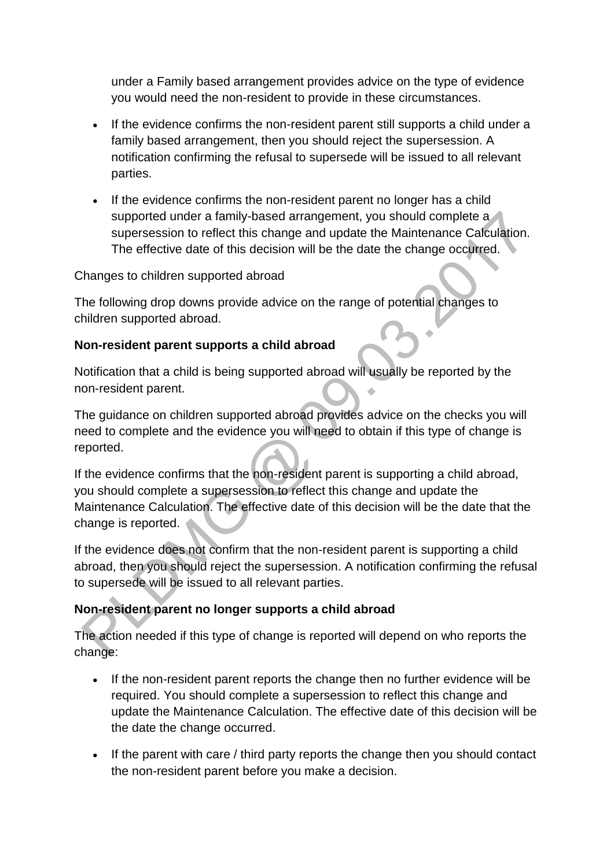under a Family based arrangement provides advice on the type of evidence you would need the non-resident to provide in these circumstances.

- If the evidence confirms the non-resident parent still supports a child under a family based arrangement, then you should reject the supersession. A notification confirming the refusal to supersede will be issued to all relevant parties.
- If the evidence confirms the non-resident parent no longer has a child supported under a family-based arrangement, you should complete a supersession to reflect this change and update the Maintenance Calculation. The effective date of this decision will be the date the change occurred.

Changes to children supported abroad

The following drop downs provide advice on the range of potential changes to children supported abroad.

#### **Non-resident parent supports a child abroad**

Notification that a child is being supported abroad will usually be reported by the non-resident parent.

The guidance on children supported abroad provides advice on the checks you will need to complete and the evidence you will need to obtain if this type of change is reported.

If the evidence confirms that the non-resident parent is supporting a child abroad, you should complete a supersession to reflect this change and update the Maintenance Calculation. The effective date of this decision will be the date that the change is reported.

If the evidence does not confirm that the non-resident parent is supporting a child abroad, then you should reject the supersession. A notification confirming the refusal to supersede will be issued to all relevant parties.

## **Non-resident parent no longer supports a child abroad**

The action needed if this type of change is reported will depend on who reports the change:

- If the non-resident parent reports the change then no further evidence will be required. You should complete a supersession to reflect this change and update the Maintenance Calculation. The effective date of this decision will be the date the change occurred.
- If the parent with care / third party reports the change then you should contact the non-resident parent before you make a decision.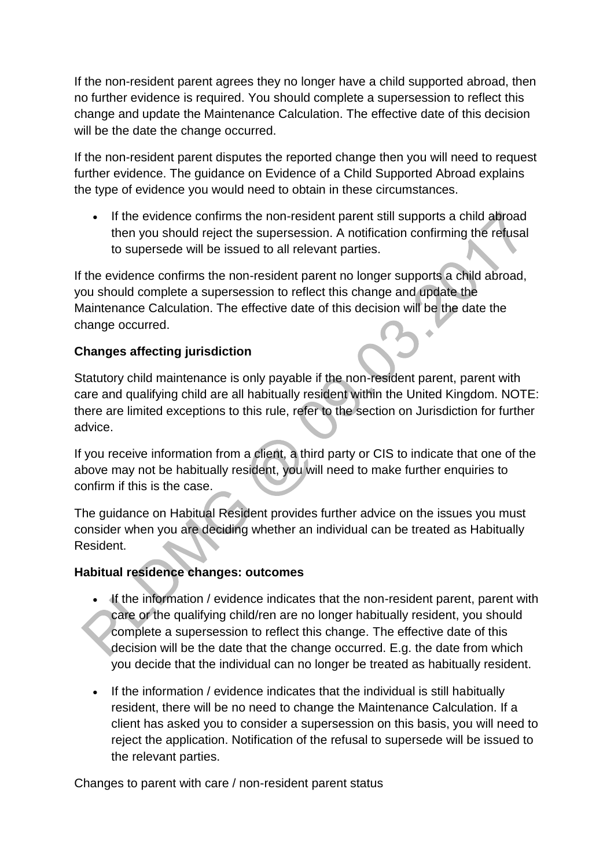If the non-resident parent agrees they no longer have a child supported abroad, then no further evidence is required. You should complete a supersession to reflect this change and update the Maintenance Calculation. The effective date of this decision will be the date the change occurred.

If the non-resident parent disputes the reported change then you will need to request further evidence. The guidance on Evidence of a Child Supported Abroad explains the type of evidence you would need to obtain in these circumstances.

 If the evidence confirms the non-resident parent still supports a child abroad then you should reject the supersession. A notification confirming the refusal to supersede will be issued to all relevant parties.

If the evidence confirms the non-resident parent no longer supports a child abroad, you should complete a supersession to reflect this change and update the Maintenance Calculation. The effective date of this decision will be the date the change occurred.

# **Changes affecting jurisdiction**

Statutory child maintenance is only payable if the non-resident parent, parent with care and qualifying child are all habitually resident within the United Kingdom. NOTE: there are limited exceptions to this rule, refer to the section on Jurisdiction for further advice.

If you receive information from a client, a third party or CIS to indicate that one of the above may not be habitually resident, you will need to make further enquiries to confirm if this is the case.

The guidance on Habitual Resident provides further advice on the issues you must consider when you are deciding whether an individual can be treated as Habitually Resident.

## **Habitual residence changes: outcomes**

- If the information / evidence indicates that the non-resident parent, parent with care or the qualifying child/ren are no longer habitually resident, you should complete a supersession to reflect this change. The effective date of this decision will be the date that the change occurred. E.g. the date from which you decide that the individual can no longer be treated as habitually resident.
- If the information / evidence indicates that the individual is still habitually resident, there will be no need to change the Maintenance Calculation. If a client has asked you to consider a supersession on this basis, you will need to reject the application. Notification of the refusal to supersede will be issued to the relevant parties.

Changes to parent with care / non-resident parent status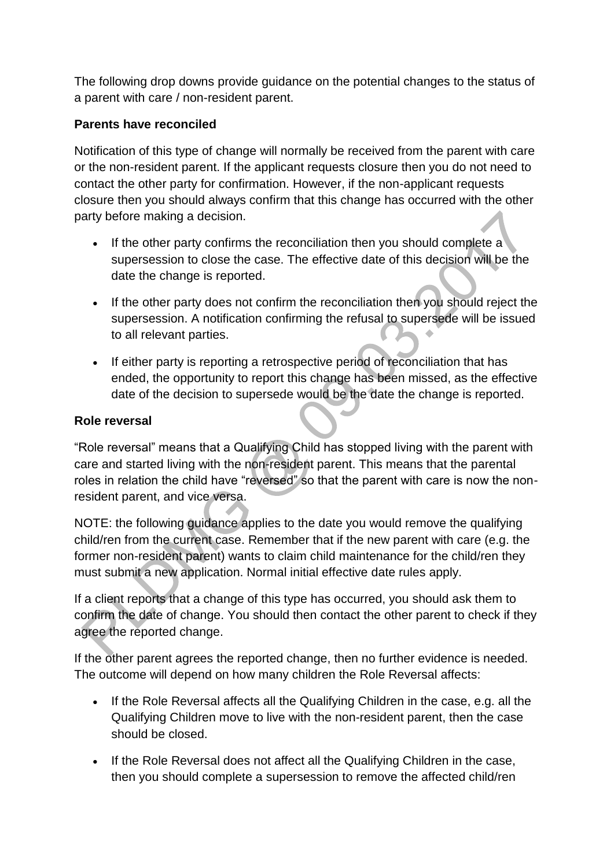The following drop downs provide guidance on the potential changes to the status of a parent with care / non-resident parent.

# **Parents have reconciled**

Notification of this type of change will normally be received from the parent with care or the non-resident parent. If the applicant requests closure then you do not need to contact the other party for confirmation. However, if the non-applicant requests closure then you should always confirm that this change has occurred with the other party before making a decision.

- If the other party confirms the reconciliation then you should complete a supersession to close the case. The effective date of this decision will be the date the change is reported.
- If the other party does not confirm the reconciliation then you should reject the supersession. A notification confirming the refusal to supersede will be issued to all relevant parties.
- If either party is reporting a retrospective period of reconciliation that has ended, the opportunity to report this change has been missed, as the effective date of the decision to supersede would be the date the change is reported.

## **Role reversal**

"Role reversal" means that a Qualifying Child has stopped living with the parent with care and started living with the non-resident parent. This means that the parental roles in relation the child have "reversed" so that the parent with care is now the nonresident parent, and vice versa.

NOTE: the following guidance applies to the date you would remove the qualifying child/ren from the current case. Remember that if the new parent with care (e.g. the former non-resident parent) wants to claim child maintenance for the child/ren they must submit a new application. Normal initial effective date rules apply.

If a client reports that a change of this type has occurred, you should ask them to confirm the date of change. You should then contact the other parent to check if they agree the reported change.

If the other parent agrees the reported change, then no further evidence is needed. The outcome will depend on how many children the Role Reversal affects:

- If the Role Reversal affects all the Qualifying Children in the case, e.g. all the Qualifying Children move to live with the non-resident parent, then the case should be closed.
- If the Role Reversal does not affect all the Qualifying Children in the case, then you should complete a supersession to remove the affected child/ren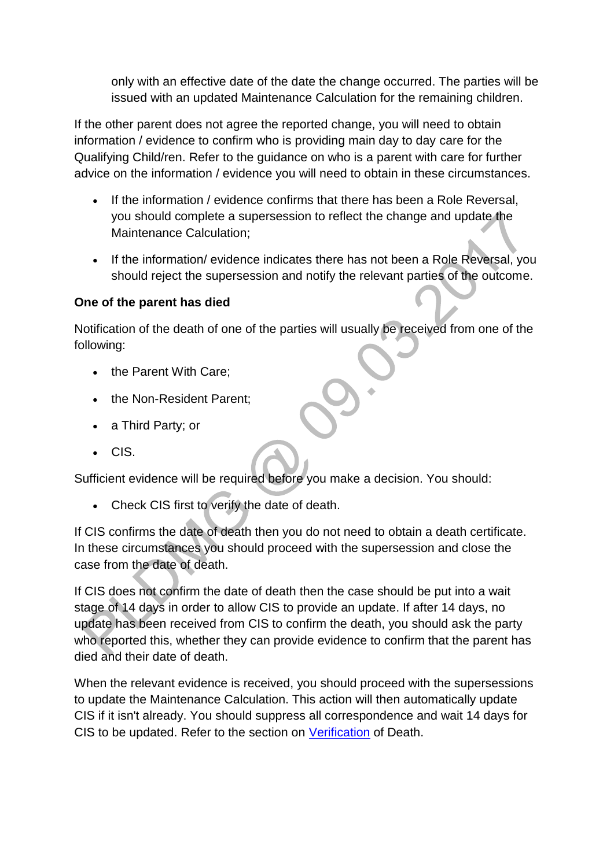only with an effective date of the date the change occurred. The parties will be issued with an updated Maintenance Calculation for the remaining children.

If the other parent does not agree the reported change, you will need to obtain information / evidence to confirm who is providing main day to day care for the Qualifying Child/ren. Refer to the guidance on who is a parent with care for further advice on the information / evidence you will need to obtain in these circumstances.

- If the information / evidence confirms that there has been a Role Reversal, you should complete a supersession to reflect the change and update the Maintenance Calculation;
- If the information/ evidence indicates there has not been a Role Reversal, you should reject the supersession and notify the relevant parties of the outcome.

## **One of the parent has died**

Notification of the death of one of the parties will usually be received from one of the following:

- the Parent With Care;
- the Non-Resident Parent;
- a Third Party; or
- CIS.

Sufficient evidence will be required before you make a decision. You should:

Check CIS first to verify the date of death.

If CIS confirms the date of death then you do not need to obtain a death certificate. In these circumstances you should proceed with the supersession and close the case from the date of death.

If CIS does not confirm the date of death then the case should be put into a wait stage of 14 days in order to allow CIS to provide an update. If after 14 days, no update has been received from CIS to confirm the death, you should ask the party who reported this, whether they can provide evidence to confirm that the parent has died and their date of death.

When the relevant evidence is received, you should proceed with the supersessions to update the Maintenance Calculation. This action will then automatically update CIS if it isn't already. You should suppress all correspondence and wait 14 days for CIS to be updated. Refer to the section on [Verification](http://np-cmg-sharepoint.link2.gpn.gov.uk/sites/policy-law-and-decision-making-guidance/Pages/Verification-of-Death.aspx) of Death.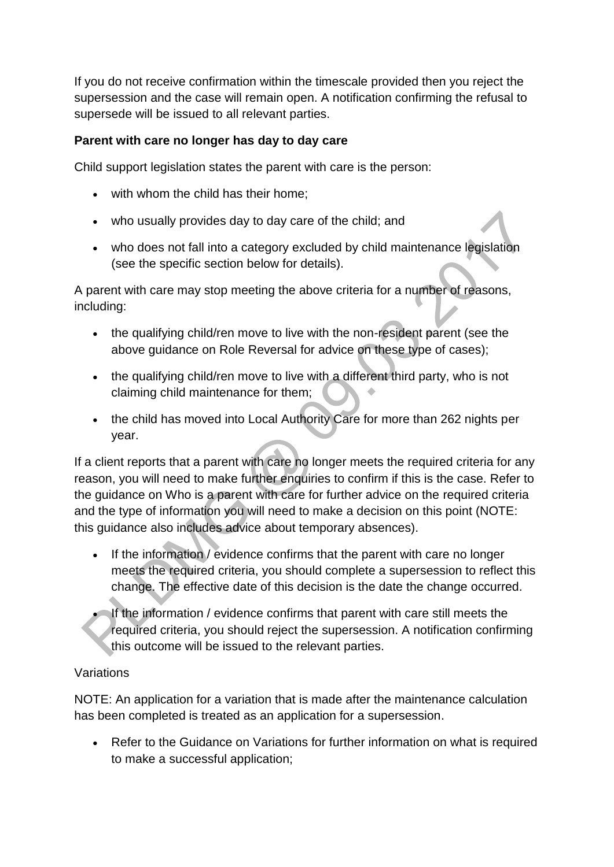If you do not receive confirmation within the timescale provided then you reject the supersession and the case will remain open. A notification confirming the refusal to supersede will be issued to all relevant parties.

## **Parent with care no longer has day to day care**

Child support legislation states the parent with care is the person:

- with whom the child has their home;
- who usually provides day to day care of the child; and
- who does not fall into a category excluded by child maintenance legislation (see the specific section below for details).

A parent with care may stop meeting the above criteria for a number of reasons, including:

- the qualifying child/ren move to live with the non-resident parent (see the above guidance on Role Reversal for advice on these type of cases);
- the qualifying child/ren move to live with a different third party, who is not claiming child maintenance for them;
- the child has moved into Local Authority Care for more than 262 nights per year.

If a client reports that a parent with care no longer meets the required criteria for any reason, you will need to make further enquiries to confirm if this is the case. Refer to the guidance on Who is a parent with care for further advice on the required criteria and the type of information you will need to make a decision on this point (NOTE: this guidance also includes advice about temporary absences).

- If the information / evidence confirms that the parent with care no longer meets the required criteria, you should complete a supersession to reflect this change. The effective date of this decision is the date the change occurred.
- If the information / evidence confirms that parent with care still meets the required criteria, you should reject the supersession. A notification confirming this outcome will be issued to the relevant parties.

## Variations

NOTE: An application for a variation that is made after the maintenance calculation has been completed is treated as an application for a supersession.

 Refer to the Guidance on Variations for further information on what is required to make a successful application;